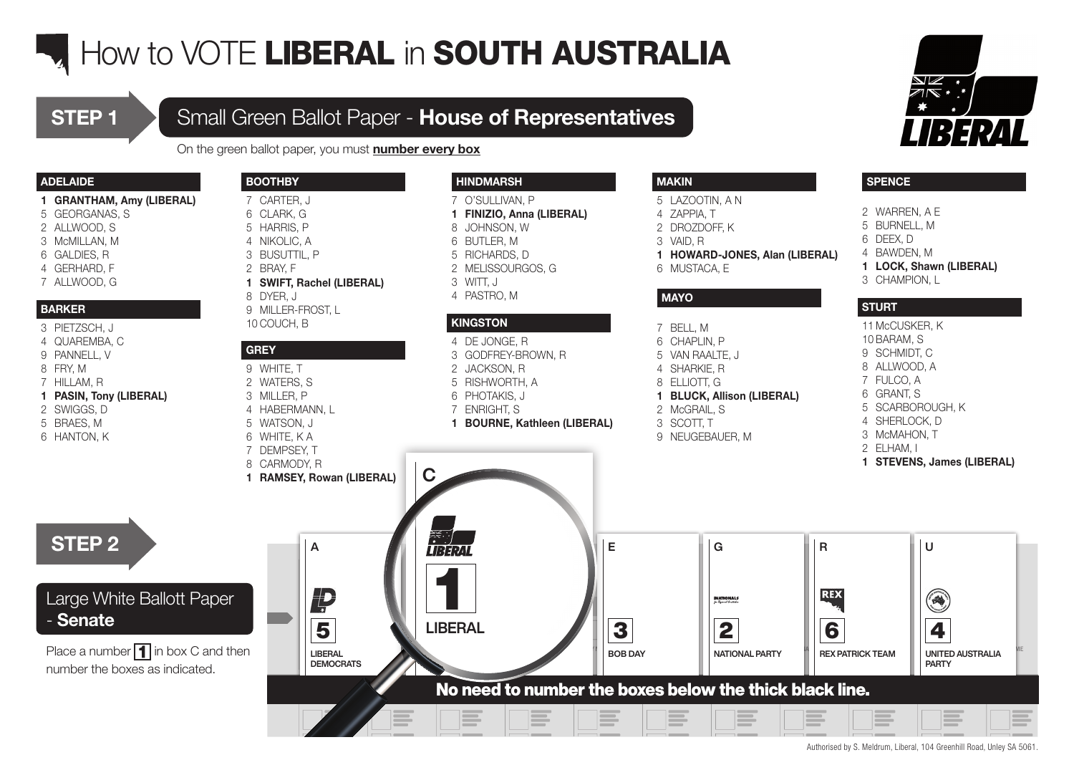## **How to VOTE LIBERAL in SOUTH AUSTRALIA**

## **STEP 1** Small Green Ballot Paper - **House of Representatives**

On the green ballot paper, you must number every box

### ADELAIDE

- GRANTHAM, Amy (LIBERAL)
- GEORGANAS, S
- ALLWOOD, S
- McMILLAN, M
- GALDIES, R
- GERHARD, F
- ALLWOOD, G

### BARKER

- PIETZSCH, J
- QUAREMBA, C
- PANNELL, V
- FRY, M
- HILLAM, R
- PASIN, Tony (LIBERAL)
- SWIGGS, D
- BRAES, M
- HANTON, K

### **BOOTHBY**

- CARTER, J CLARK, G
- HARRIS, P
- NIKOLIC, A
- BUSUTTIL, P
- BRAY, F
- SWIFT, Rachel (LIBERAL)
- DYER, J
- MILLER-FROST, L
- COUCH, B

### GREY

- WHITE, T
- WATERS, S
- MILLER, P
- HABERMANN, L
- WATSON, J
- WHITE, K A
- DEMPSEY, T
- CARMODY, R
- RAMSEY, Rowan (LIBERAL)

A

A

LIBERAL

DEMOCRATS

Ļ

PARTY NAME

## Large White Ballott Paper

- Senate

STEP 2

Place a number  $\blacksquare$  in box C and then number the boxes as indicated.



 O'SULLIVAN, P FINIZIO, Anna (LIBERAL)

- JOHNSON, W
- 
- BUTLER, M
- RICHARDS, D
- MELISSOURGOS, G
- WITT, J
- PASTRO, M

### **KINGSTON**

- DE JONGE, R GODFREY-BROWN, R
- JACKSON, R
- RISHWORTH, A
- PHOTAKIS, J
- 
- ENRIGHT, S
- BOURNE, Kathleen (LIBERAL)

### MAKIN

- LAZOOTIN, A N
- ZAPPIA, T
- DROZDOFF, K
- VAID, R
- HOWARD-JONES, Alan (LIBERAL)
- MUSTACA, E

### MAYO

 BELL, M CHAPLIN, P VAN RAALTE, J SHARKIE, R

- ELLIOTT, G
- BLUCK, Allison (LIBERAL)
- McGRAIL, S
- SCOTT, T
- NEUGEBAUER, M

- WARREN, A E
- BURNELL, M

**SPENCE** 

- DEEX, D
- BAWDEN, M
- LOCK, Shawn (LIBERAL)
- CHAMPION, L

### **STURT**

McCUSKER, K

- BARAM, S SCHMIDT, C
- ALLWOOD, A
- FULCO, A
- GRANT, S
- 
- SCARBOROUGH, K
- SHERLOCK, D
- McMAHON, T
- ELHAM, I
- STEVENS, James (LIBERAL)